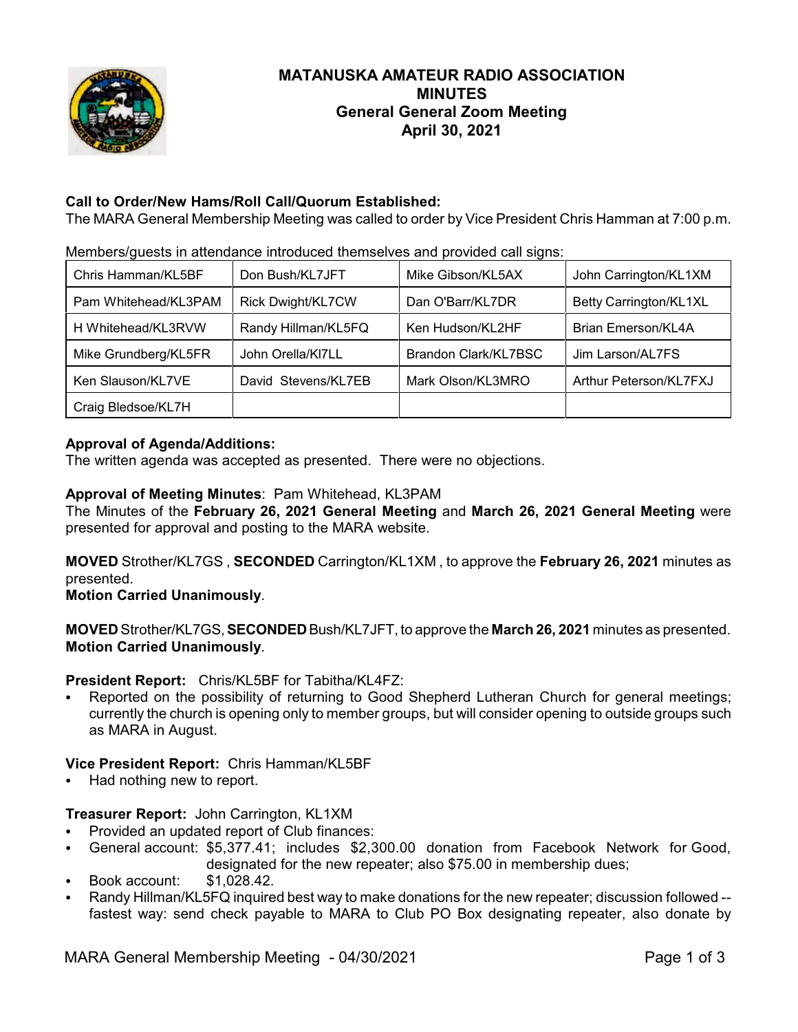

# **MATANUSKA AMATEUR RADIO ASSOCIATION MINUTES General General Zoom Meeting April 30, 2021**

# **Call to Order/New Hams/Roll Call/Quorum Established:**

The MARA General Membership Meeting was called to order by Vice President Chris Hamman at 7:00 p.m.

| Chris Hamman/KL5BF   | Don Bush/KL7JFT          | Mike Gibson/KL5AX           | John Carrington/KL1XM     |
|----------------------|--------------------------|-----------------------------|---------------------------|
| Pam Whitehead/KL3PAM | <b>Rick Dwight/KL7CW</b> | Dan O'Barr/KL7DR            | Betty Carrington/KL1XL    |
| H Whitehead/KL3RVW   | Randy Hillman/KL5FQ      | Ken Hudson/KL2HF            | <b>Brian Emerson/KL4A</b> |
| Mike Grundberg/KL5FR | John Orella/KI7LL        | <b>Brandon Clark/KL7BSC</b> | Jim Larson/AL7FS          |
| Ken Slauson/KL7VE    | David Stevens/KL7EB      | Mark Olson/KL3MRO           | Arthur Peterson/KL7FXJ    |
| Craig Bledsoe/KL7H   |                          |                             |                           |

Members/guests in attendance introduced themselves and provided call signs:

## **Approval of Agenda/Additions:**

The written agenda was accepted as presented. There were no objections.

## **Approval of Meeting Minutes**: Pam Whitehead, KL3PAM

The Minutes of the **February 26, 2021 General Meeting** and **March 26, 2021 General Meeting** were presented for approval and posting to the MARA website.

**MOVED** Strother/KL7GS , **SECONDED** Carrington/KL1XM , to approve the **February 26, 2021** minutes as presented.

**Motion Carried Unanimously**.

**MOVED** Strother/KL7GS,**SECONDED** Bush/KL7JFT, to approve the **March 26, 2021** minutes as presented. **Motion Carried Unanimously**.

**President Report:** Chris/KL5BF for Tabitha/KL4FZ:

Reported on the possibility of returning to Good Shepherd Lutheran Church for general meetings; currently the church is opening only to member groups, but will consider opening to outside groups such as MARA in August.

## **Vice President Report:** Chris Hamman/KL5BF

Had nothing new to report.

## **Treasurer Report:** John Carrington, KL1XM

- Provided an updated report of Club finances:
- General account: \$5,377.41; includes \$2,300.00 donation from Facebook Network for Good, designated for the new repeater; also \$75.00 in membership dues;
- C Book account: \$1,028.42.
- Randy Hillman/KL5FQ inquired best way to make donations for the new repeater; discussion followed -fastest way: send check payable to MARA to Club PO Box designating repeater, also donate by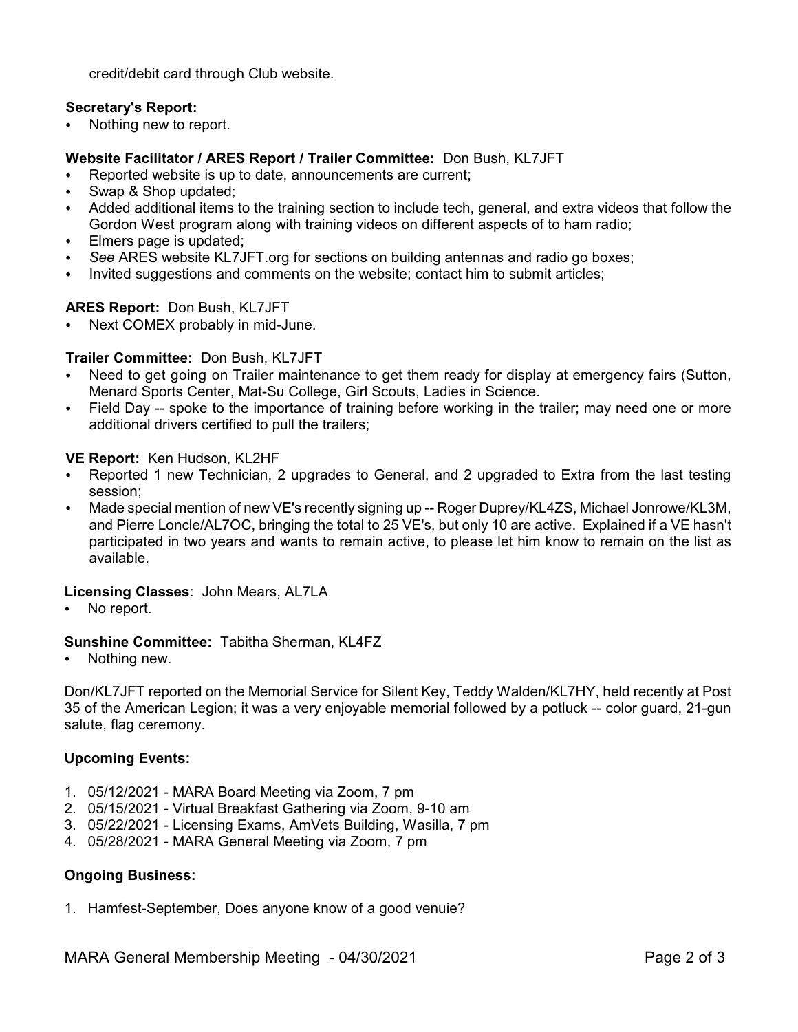credit/debit card through Club website.

### **Secretary's Report:**

• Nothing new to report.

### **Website Facilitator / ARES Report / Trailer Committee:** Don Bush, KL7JFT

- Reported website is up to date, announcements are current:
- Swap & Shop updated;
- Added additional items to the training section to include tech, general, and extra videos that follow the Gordon West program along with training videos on different aspects of to ham radio;
- Elmers page is updated:
- See ARES website KL7JFT.org for sections on building antennas and radio go boxes;
- Invited suggestions and comments on the website; contact him to submit articles;

#### **ARES Report:** Don Bush, KL7JFT

• Next COMEX probably in mid-June.

#### **Trailer Committee:** Don Bush, KL7JFT

- Need to get going on Trailer maintenance to get them ready for display at emergency fairs (Sutton, Menard Sports Center, Mat-Su College, Girl Scouts, Ladies in Science.
- Field Day -- spoke to the importance of training before working in the trailer; may need one or more additional drivers certified to pull the trailers;

#### **VE Report:** Ken Hudson, KL2HF

- C Reported 1 new Technician, 2 upgrades to General, and 2 upgraded to Extra from the last testing session;
- Made special mention of new VE's recently signing up -- Roger Duprey/KL4ZS, Michael Jonrowe/KL3M, and Pierre Loncle/AL7OC, bringing the total to 25 VE's, but only 10 are active. Explained if a VE hasn't participated in two years and wants to remain active, to please let him know to remain on the list as available.

#### **Licensing Classes**: John Mears, AL7LA

No report.

#### **Sunshine Committee:** Tabitha Sherman, KL4FZ

Nothing new.

Don/KL7JFT reported on the Memorial Service for Silent Key, Teddy Walden/KL7HY, held recently at Post 35 of the American Legion; it was a very enjoyable memorial followed by a potluck -- color guard, 21-gun salute, flag ceremony.

#### **Upcoming Events:**

- 1. 05/12/2021 MARA Board Meeting via Zoom, 7 pm
- 2. 05/15/2021 Virtual Breakfast Gathering via Zoom, 9-10 am
- 3. 05/22/2021 Licensing Exams, AmVets Building, Wasilla, 7 pm
- 4. 05/28/2021 MARA General Meeting via Zoom, 7 pm

#### **Ongoing Business:**

1. Hamfest-September, Does anyone know of a good venuie?

MARA General Membership Meeting - 04/30/2021 Page 2 of 3